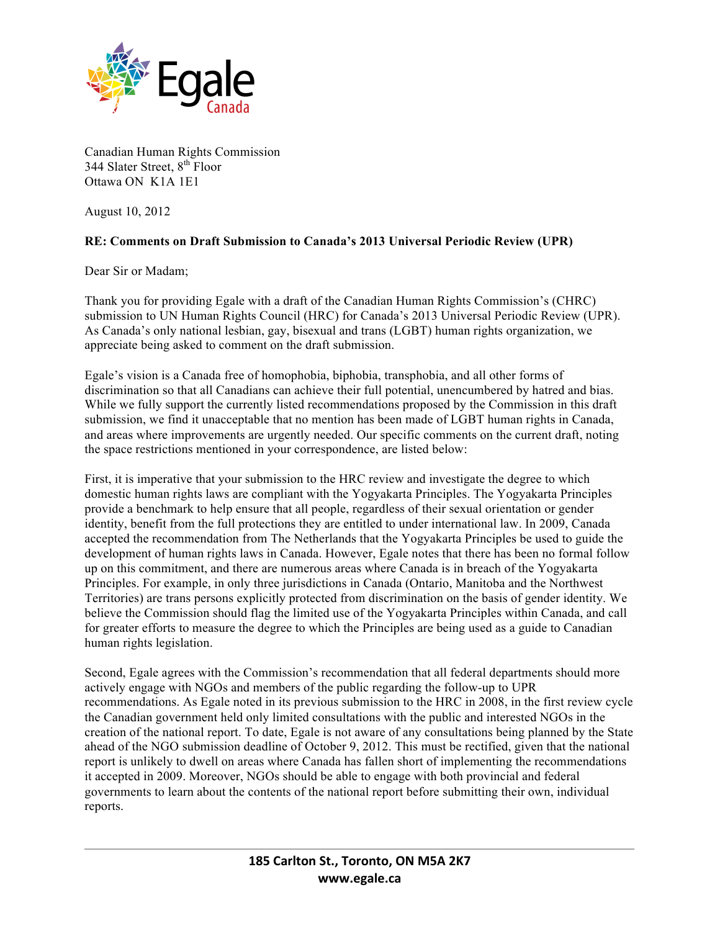

Canadian Human Rights Commission 344 Slater Street, 8<sup>th</sup> Floor Ottawa ON K1A 1E1

August 10, 2012

## **RE: Comments on Draft Submission to Canada's 2013 Universal Periodic Review (UPR)**

Dear Sir or Madam;

Thank you for providing Egale with a draft of the Canadian Human Rights Commission's (CHRC) submission to UN Human Rights Council (HRC) for Canada's 2013 Universal Periodic Review (UPR). As Canada's only national lesbian, gay, bisexual and trans (LGBT) human rights organization, we appreciate being asked to comment on the draft submission.

Egale's vision is a Canada free of homophobia, biphobia, transphobia, and all other forms of discrimination so that all Canadians can achieve their full potential, unencumbered by hatred and bias. While we fully support the currently listed recommendations proposed by the Commission in this draft submission, we find it unacceptable that no mention has been made of LGBT human rights in Canada, and areas where improvements are urgently needed. Our specific comments on the current draft, noting the space restrictions mentioned in your correspondence, are listed below:

First, it is imperative that your submission to the HRC review and investigate the degree to which domestic human rights laws are compliant with the Yogyakarta Principles. The Yogyakarta Principles provide a benchmark to help ensure that all people, regardless of their sexual orientation or gender identity, benefit from the full protections they are entitled to under international law. In 2009, Canada accepted the recommendation from The Netherlands that the Yogyakarta Principles be used to guide the development of human rights laws in Canada. However, Egale notes that there has been no formal follow up on this commitment, and there are numerous areas where Canada is in breach of the Yogyakarta Principles. For example, in only three jurisdictions in Canada (Ontario, Manitoba and the Northwest Territories) are trans persons explicitly protected from discrimination on the basis of gender identity. We believe the Commission should flag the limited use of the Yogyakarta Principles within Canada, and call for greater efforts to measure the degree to which the Principles are being used as a guide to Canadian human rights legislation.

Second, Egale agrees with the Commission's recommendation that all federal departments should more actively engage with NGOs and members of the public regarding the follow-up to UPR recommendations. As Egale noted in its previous submission to the HRC in 2008, in the first review cycle the Canadian government held only limited consultations with the public and interested NGOs in the creation of the national report. To date, Egale is not aware of any consultations being planned by the State ahead of the NGO submission deadline of October 9, 2012. This must be rectified, given that the national report is unlikely to dwell on areas where Canada has fallen short of implementing the recommendations it accepted in 2009. Moreover, NGOs should be able to engage with both provincial and federal governments to learn about the contents of the national report before submitting their own, individual reports.